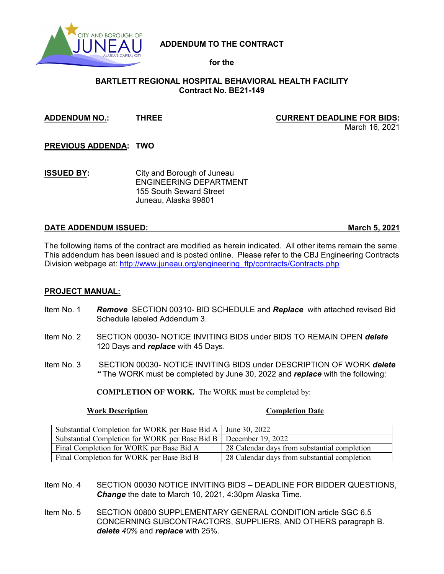

# **ADDENDUM TO THE CONTRACT**

# **for the**

# **BARTLETT REGIONAL HOSPITAL BEHAVIORAL HEALTH FACILITY Contract No. BE21-149**

## **ADDENDUM NO.: THREE CURRENT DEADLINE FOR BIDS:**

March 16, 2021

**PREVIOUS ADDENDA: TWO**

**ISSUED BY:** City and Borough of Juneau ENGINEERING DEPARTMENT 155 South Seward Street Juneau, Alaska 99801

## **DATE ADDENDUM ISSUED: March 5, 2021**

The following items of the contract are modified as herein indicated. All other items remain the same. This addendum has been issued and is posted online. Please refer to the CBJ Engineering Contracts Division webpage at: [http://www.juneau.org/engineering\\_ftp/contracts/Contracts.php](http://www.juneau.org/engineering_ftp/contracts/Contracts.php) 

## **PROJECT MANUAL:**

- Item No. 1 *Remove* SECTION 00310- BID SCHEDULE and *Replace* with attached revised Bid Schedule labeled Addendum 3.
- Item No. 2 SECTION 00030- NOTICE INVITING BIDS under BIDS TO REMAIN OPEN *delete*  120 Days and *replace* with 45 Days.
- Item No. 3 SECTION 00030- NOTICE INVITING BIDS under DESCRIPTION OF WORK *delete "* The WORK must be completed by June 30, 2022 and *replace* with the following:

**COMPLETION OF WORK.** The WORK must be completed by:

### **Work Description Completion Date**

| Substantial Completion for WORK per Base Bid A   June 30, 2022     |                                              |
|--------------------------------------------------------------------|----------------------------------------------|
| Substantial Completion for WORK per Base Bid B   December 19, 2022 |                                              |
| Final Completion for WORK per Base Bid A                           | 28 Calendar days from substantial completion |
| Final Completion for WORK per Base Bid B                           | 28 Calendar days from substantial completion |

- Item No. 4 SECTION 00030 NOTICE INVITING BIDS DEADLINE FOR BIDDER QUESTIONS, *Change* the date to March 10, 2021, 4:30pm Alaska Time.
- Item No. 5 SECTION 00800 SUPPLEMENTARY GENERAL CONDITION article SGC 6.5 CONCERNING SUBCONTRACTORS, SUPPLIERS, AND OTHERS paragraph B. *delete 40%* and *replace* with 25%.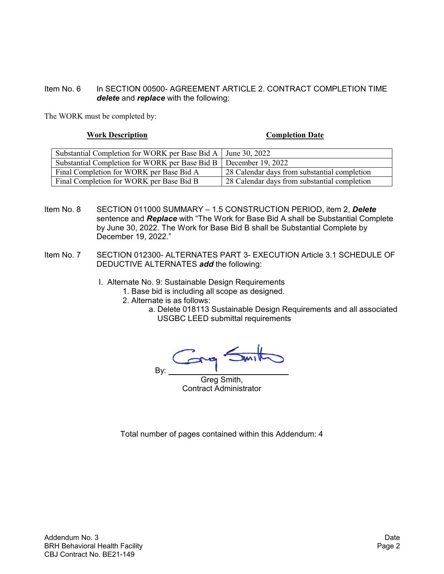# Item No. 6 In SECTION 00500- AGREEMENT ARTICLE 2. CONTRACT COMPLETION TIME *delete* and *replace* with the following:

The WORK must be completed by:

### **Work Description Completion Date**

| Substantial Completion for WORK per Base Bid A   June 30, 2022     |                                              |
|--------------------------------------------------------------------|----------------------------------------------|
| Substantial Completion for WORK per Base Bid B   December 19, 2022 |                                              |
| Final Completion for WORK per Base Bid A                           | 28 Calendar days from substantial completion |
| Final Completion for WORK per Base Bid B                           | 28 Calendar days from substantial completion |

- Item No. 8 SECTION 011000 SUMMARY 1.5 CONSTRUCTION PERIOD, item 2, *Delete* sentence and *Replace* with "The Work for Base Bid A shall be Substantial Complete by June 30, 2022. The Work for Base Bid B shall be Substantial Complete by December 19, 2022."
- Item No. 7 SECTION 012300- ALTERNATES PART 3- EXECUTION Article 3.1 SCHEDULE OF DEDUCTIVE ALTERNATES *add* the following:
	- I. Alternate No. 9: Sustainable Design Requirements
		- 1. Base bid is including all scope as designed.
		- 2. Alternate is as follows:
			- a. Delete 018113 Sustainable Design Requirements and all associated USGBC LEED submittal requirements

 $\sqrt{2}$ By:

Greg Smith, Contract Administrator

Total number of pages contained within this Addendum: 4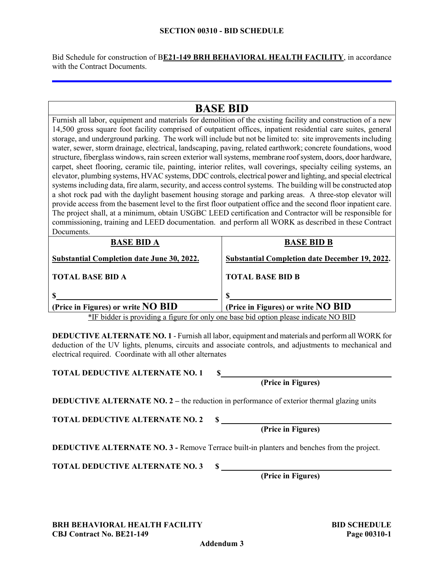### **SECTION 00310 - BID SCHEDULE**

Bid Schedule for construction of B**E21-149 BRH BEHAVIORAL HEALTH FACILITY**, in accordance with the Contract Documents.

### **BASE BID** Furnish all labor, equipment and materials for demolition of the existing facility and construction of a new 14,500 gross square foot facility comprised of outpatient offices, inpatient residential care suites, general storage, and underground parking. The work will include but not be limited to: site improvements including water, sewer, storm drainage, electrical, landscaping, paving, related earthwork; concrete foundations, wood structure, fiberglass windows, rain screen exterior wall systems, membrane roof system, doors, door hardware, carpet, sheet flooring, ceramic tile, painting, interior relites, wall coverings, specialty ceiling systems, an elevator, plumbing systems, HVAC systems, DDC controls, electrical power and lighting, and special electrical systems including data, fire alarm, security, and access control systems. The building will be constructed atop a shot rock pad with the daylight basement housing storage and parking areas. A three-stop elevator will provide access from the basement level to the first floor outpatient office and the second floor inpatient care. The project shall, at a minimum, obtain USGBC LEED certification and Contractor will be responsible for commissioning, training and LEED documentation. and perform all WORK as described in these Contract Documents. **BASE BID A Substantial Completion date June 30, 2022. TOTAL BASE BID A \$ (Price in Figures) or write NO BID BASE BID B Substantial Completion date December 19, 2022. TOTAL BASE BID B \$ (Price in Figures) or write NO BID**

\*IF bidder is providing a figure for only one base bid option please indicate NO BID

**DEDUCTIVE ALTERNATE NO. 1** - Furnish all labor, equipment and materials and perform all WORK for deduction of the UV lights, plenums, circuits and associate controls, and adjustments to mechanical and electrical required. Coordinate with all other alternates

**TOTAL DEDUCTIVE ALTERNATE NO. 1 \$**

**DEDUCTIVE ALTERNATE NO. 2 – the reduction in performance of exterior thermal glazing units** 

**TOTAL DEDUCTIVE ALTERNATE NO. 2 \$** 

**DEDUCTIVE ALTERNATE NO. 3 -** Remove Terrace built-in planters and benches from the project.

**TOTAL DEDUCTIVE ALTERNATE NO. 3 \$** 

**(Price in Figures)**

**BRH BEHAVIORAL HEALTH FACILITY BID SCHEDULE CBJ Contract No. BE21-149 Page 00310-1**

**Addendum 3**

**(Price in Figures)**

**(Price in Figures)**